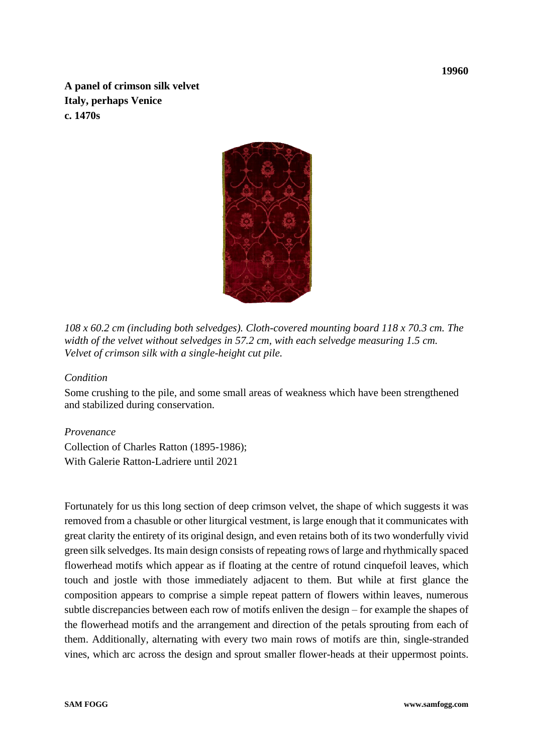**A panel of crimson silk velvet Italy, perhaps Venice c. 1470s**



*108 x 60.2 cm (including both selvedges). Cloth-covered mounting board 118 x 70.3 cm. The width of the velvet without selvedges in 57.2 cm, with each selvedge measuring 1.5 cm. Velvet of crimson silk with a single-height cut pile.* 

## *Condition*

Some crushing to the pile, and some small areas of weakness which have been strengthened and stabilized during conservation.

## *Provenance*

Collection of Charles Ratton (1895-1986); With Galerie Ratton-Ladriere until 2021

Fortunately for us this long section of deep crimson velvet, the shape of which suggests it was removed from a chasuble or other liturgical vestment, is large enough that it communicates with great clarity the entirety of its original design, and even retains both of its two wonderfully vivid green silk selvedges. Its main design consists of repeating rows of large and rhythmically spaced flowerhead motifs which appear as if floating at the centre of rotund cinquefoil leaves, which touch and jostle with those immediately adjacent to them. But while at first glance the composition appears to comprise a simple repeat pattern of flowers within leaves, numerous subtle discrepancies between each row of motifs enliven the design – for example the shapes of the flowerhead motifs and the arrangement and direction of the petals sprouting from each of them. Additionally, alternating with every two main rows of motifs are thin, single-stranded vines, which arc across the design and sprout smaller flower-heads at their uppermost points.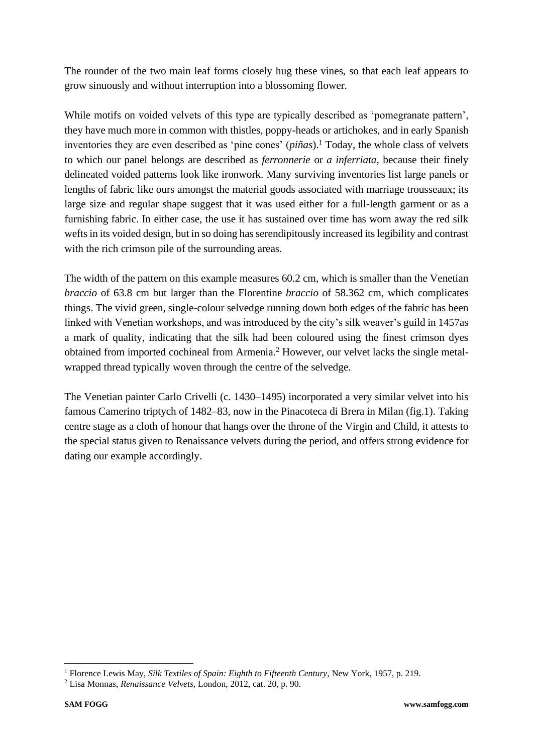The rounder of the two main leaf forms closely hug these vines, so that each leaf appears to grow sinuously and without interruption into a blossoming flower.

While motifs on voided velvets of this type are typically described as 'pomegranate pattern', they have much more in common with thistles, poppy-heads or artichokes, and in early Spanish inventories they are even described as 'pine cones' (*piñas*). <sup>1</sup> Today, the whole class of velvets to which our panel belongs are described as *ferronnerie* or *a inferriata,* because their finely delineated voided patterns look like ironwork. Many surviving inventories list large panels or lengths of fabric like ours amongst the material goods associated with marriage trousseaux; its large size and regular shape suggest that it was used either for a full-length garment or as a furnishing fabric. In either case, the use it has sustained over time has worn away the red silk wefts in its voided design, but in so doing has serendipitously increased its legibility and contrast with the rich crimson pile of the surrounding areas.

The width of the pattern on this example measures 60.2 cm, which is smaller than the Venetian *braccio* of 63.8 cm but larger than the Florentine *braccio* of 58.362 cm, which complicates things. The vivid green, single-colour selvedge running down both edges of the fabric has been linked with Venetian workshops, and was introduced by the city's silk weaver's guild in 1457as a mark of quality, indicating that the silk had been coloured using the finest crimson dyes obtained from imported cochineal from Armenia.<sup>2</sup> However, our velvet lacks the single metalwrapped thread typically woven through the centre of the selvedge.

The Venetian painter Carlo Crivelli (c. 1430–1495) incorporated a very similar velvet into his famous Camerino triptych of 1482–83, now in the Pinacoteca di Brera in Milan (fig.1). Taking centre stage as a cloth of honour that hangs over the throne of the Virgin and Child, it attests to the special status given to Renaissance velvets during the period, and offers strong evidence for dating our example accordingly.

<sup>1</sup> Florence Lewis May, *Silk Textiles of Spain: Eighth to Fifteenth Century,* New York, 1957, p. 219.

<sup>2</sup> Lisa Monnas, *Renaissance Velvets*, London, 2012, cat. 20, p. 90.